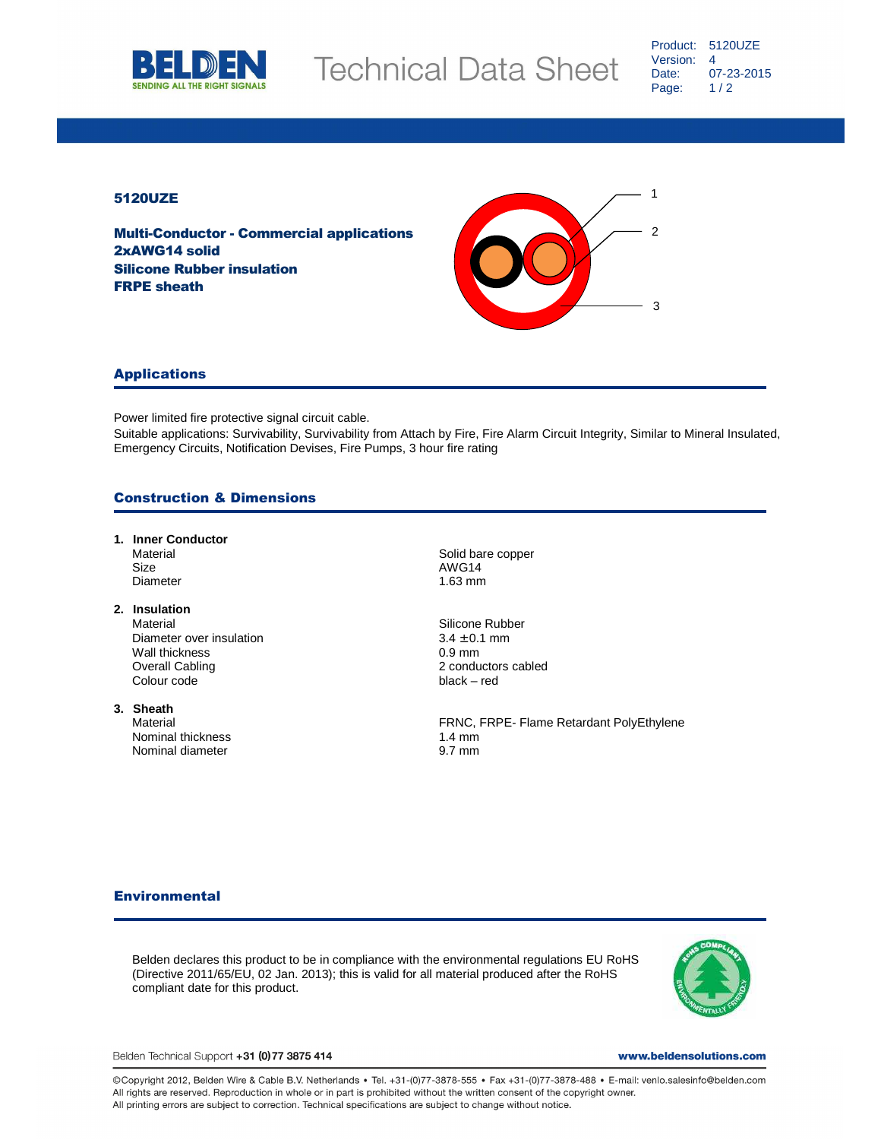

### 5120UZE

Multi-Conductor - Commercial applications 2xAWG14 solid Silicone Rubber insulation FRPE sheath



### Applications

Power limited fire protective signal circuit cable.

Suitable applications: Survivability, Survivability from Attach by Fire, Fire Alarm Circuit Integrity, Similar to Mineral Insulated, Emergency Circuits, Notification Devises, Fire Pumps, 3 hour fire rating

## Construction & Dimensions

- **1. Inner Conductor**  Material Material Contract of the Solid bare copper Size AWG14 Diameter 1.63 mm
- **2. Insulation**  Material **Material** Silicone Rubber Diameter over insulation  $3.4 \pm 0.1$  mm Wall thickness and the UNE of the UNE of the UNE of the UNE of the UNE of the UNE of the UNE of the UNE of the U<br>
UNE of the UNE of the UNE of the UNE of the UNE of the UNE of the UNE of the UNE of the UNE of the UNE of th Colour code black – red
- **3. Sheath**  Nominal thickness 1.4 mm Nominal diameter 9.7 mm

2 conductors cabled

FRNC, FRPE- Flame Retardant PolyEthylene

#### **Environmental**

Belden declares this product to be in compliance with the environmental regulations EU RoHS (Directive 2011/65/EU, 02 Jan. 2013); this is valid for all material produced after the RoHS compliant date for this product.



Belden Technical Support +31 (0) 77 3875 414

www.beldensolutions.com

©Copyright 2012, Belden Wire & Cable B.V. Netherlands • Tel. +31-(0)77-3878-555 • Fax +31-(0)77-3878-488 • E-mail: venlo.salesinfo@belden.com<br>All rights are reserved. Reproduction in whole or in part is prohibited without All printing errors are subject to correction. Technical specifications are subject to change without notice.